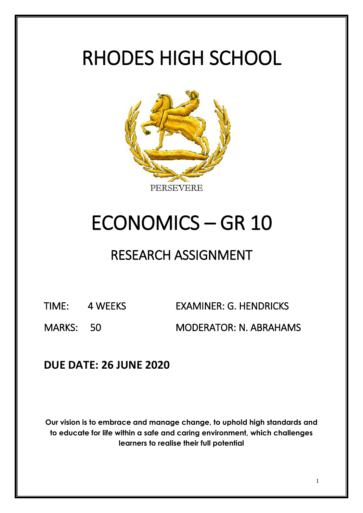# RHODES HIGH SCHOOL



# ECONOMICS – GR 10

## RESEARCH ASSIGNMENT

TIME: 4 WEEKS EXAMINER: G. HENDRICKS MARKS: 50 MODERATOR: N. ABRAHAMS

### **DUE DATE: 26 JUNE 2020**

**Our vision is to embrace and manage change, to uphold high standards and to educate for life within a safe and caring environment, which challenges learners to realise their full potential**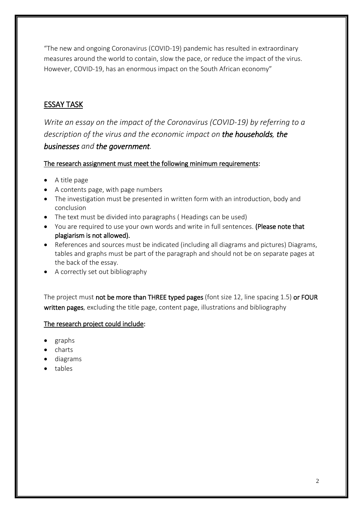"The new and ongoing Coronavirus (COVID-19) pandemic has resulted in extraordinary measures around the world to contain, slow the pace, or reduce the impact of the virus. However, COVID-19, has an enormous impact on the South African economy"

#### ESSAY TASK

*Write an essay on the impact of the Coronavirus (COVID-19) by referring to a description of the virus and the economic impact on the households, the businesses and the government.* 

#### The research assignment must meet the following minimum requirements:

- A title page
- A contents page, with page numbers
- The investigation must be presented in written form with an introduction, body and conclusion
- The text must be divided into paragraphs (Headings can be used)
- You are required to use your own words and write in full sentences. (Please note that plagiarism is not allowed).
- References and sources must be indicated (including all diagrams and pictures) Diagrams, tables and graphs must be part of the paragraph and should not be on separate pages at the back of the essay.
- A correctly set out bibliography

The project must not be more than THREE typed pages (font size 12, line spacing 1.5) or FOUR written pages, excluding the title page, content page, illustrations and bibliography

#### The research project could include:

- graphs
- charts
- diagrams
- tables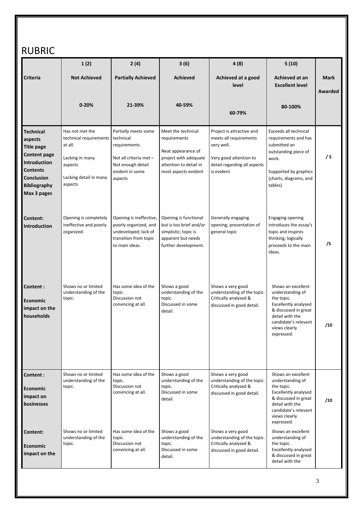### RUBRIC

|                                                                                                                                                                       | 1(2)                                                                                                                    | 2(4)                                                                                                                           | 3(6)                                                                                                                                | 4(8)                                                                                                                                      | 5(10)                                                                                                                                                                                 |                        |
|-----------------------------------------------------------------------------------------------------------------------------------------------------------------------|-------------------------------------------------------------------------------------------------------------------------|--------------------------------------------------------------------------------------------------------------------------------|-------------------------------------------------------------------------------------------------------------------------------------|-------------------------------------------------------------------------------------------------------------------------------------------|---------------------------------------------------------------------------------------------------------------------------------------------------------------------------------------|------------------------|
| Criteria                                                                                                                                                              | <b>Not Achieved</b>                                                                                                     | <b>Partially Achieved</b>                                                                                                      | <b>Achieved</b>                                                                                                                     | Achieved at a good<br>level                                                                                                               | Achieved at an<br><b>Excellent level</b>                                                                                                                                              | <b>Mark</b><br>Awarded |
|                                                                                                                                                                       | $0 - 20%$                                                                                                               | 21-39%                                                                                                                         | 40-59%                                                                                                                              | 60-79%                                                                                                                                    | 80-100%                                                                                                                                                                               |                        |
| <b>Technical</b><br>aspects<br><b>Title page</b><br><b>Content page</b><br>Introduction<br><b>Contents</b><br><b>Conclusion</b><br><b>Bibliography</b><br>Max 3 pages | Has not met the<br>technical requirements<br>at all.<br>Lacking in many<br>aspects<br>Lacking detail in many<br>aspects | Partially meets some<br>technical<br>requirements<br>Not all criteria met -<br>Not enough detail<br>evident in some<br>aspects | Meet the technical<br>requirements<br>Neat appearance of<br>project with adequate<br>attention to detail in<br>most aspects evident | Project is attractive and<br>meets all requirements<br>very well.<br>Very good attention to<br>detail regarding all aspects<br>is evident | Exceeds all technical<br>requirements and has<br>submitted an<br>outstanding piece of<br>work.<br>Supported by graphics<br>(charts, diagrams, and<br>tables)                          | /5                     |
| Content:<br><b>Introduction</b>                                                                                                                                       | Opening is completely<br>ineffective and poorly<br>organized.                                                           | Opening is ineffective,<br>poorly organized, and<br>undeveloped; lack of<br>transition from topic<br>to main ideas.            | Opening is functional<br>but is too brief and/or<br>simplistic; topic is<br>apparent but needs<br>further development.              | Generally engaging<br>opening; presentation of<br>general topic                                                                           | <b>Engaging opening</b><br>introduces the essay's<br>topic and inspires<br>thinking; logically<br>proceeds to the main<br>ideas.                                                      | /5                     |
| Content:<br>Economic<br>impact on the<br>households                                                                                                                   | Shows no or limited<br>understanding of the<br>topic.                                                                   | Has some idea of the<br>topic.<br>Discussion not<br>convincing at all.                                                         | Shows a good<br>understanding of the<br>topic.<br>Discussed in some<br>detail.                                                      | Shows a very good<br>understanding of the topic.<br>Critically analysed &<br>discussed in good detail.                                    | Shows an excellent<br>understanding of<br>the topic.<br>Excellently analysed<br>& discussed in great<br>detail with the<br>candidate's relevant<br>views clearly<br>expressed.        | /10                    |
| Content:<br><b>Economic</b><br>impact on<br>businesses                                                                                                                | Shows no or limited<br>understanding of the<br>topic.                                                                   | Has some idea of the<br>topic.<br>Discussion not<br>convincing at all.                                                         | Shows a good<br>understanding of the<br>topic.<br>Discussed in some<br>detail.                                                      | Shows a very good<br>understanding of the topic.<br>Critically analysed &<br>discussed in good detail.                                    | Shows an excellent<br>understanding of<br>the topic.<br><b>Excellently analysed</b><br>& discussed in great<br>detail with the<br>candidate's relevant<br>views clearly<br>expressed. | /10                    |
| Content:<br><b>Economic</b><br>impact on the                                                                                                                          | Shows no or limited<br>understanding of the<br>topic.                                                                   | Has some idea of the<br>topic.<br>Discussion not<br>convincing at all.                                                         | Shows a good<br>understanding of the<br>topic.<br>Discussed in some<br>detail.                                                      | Shows a very good<br>understanding of the topic.<br>Critically analysed &<br>discussed in good detail.                                    | Shows an excellent<br>understanding of<br>the topic.<br>Excellently analysed<br>& discussed in great<br>detail with the                                                               |                        |